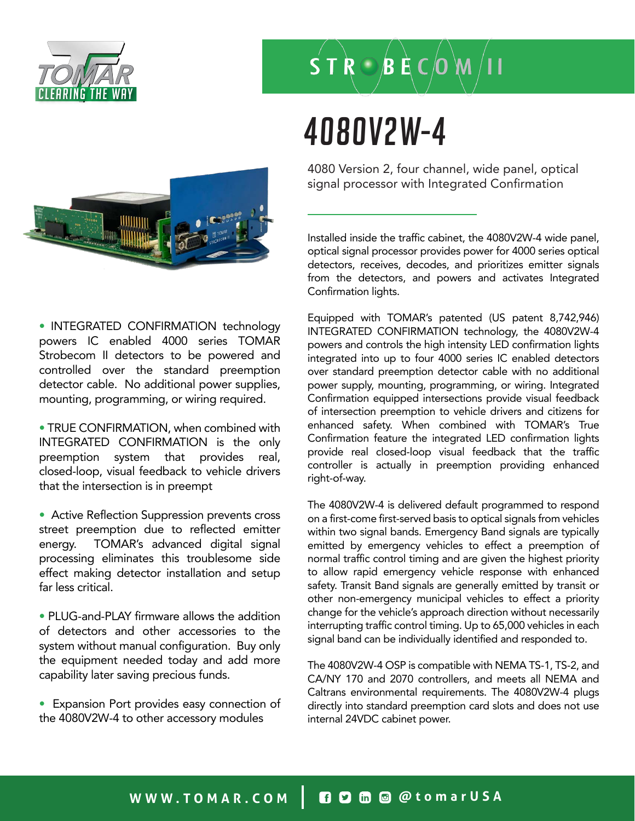

# $S T R \bigcirc B E C$  (0 M

### 4080V2W-4



4080 Version 2, four channel, wide panel, optical signal processor with Integrated Confirmation

Installed inside the traffic cabinet, the 4080V2W-4 wide panel, optical signal processor provides power for 4000 series optical detectors, receives, decodes, and prioritizes emitter signals from the detectors, and powers and activates Integrated Confirmation lights.

• INTEGRATED CONFIRMATION technology powers IC enabled 4000 series TOMAR Strobecom II detectors to be powered and controlled over the standard preemption detector cable. No additional power supplies, mounting, programming, or wiring required.

• TRUE CONFIRMATION, when combined with INTEGRATED CONFIRMATION is the only preemption system that provides real, closed-loop, visual feedback to vehicle drivers that the intersection is in preempt

• Active Reflection Suppression prevents cross street preemption due to reflected emitter energy. TOMAR's advanced digital signal processing eliminates this troublesome side effect making detector installation and setup far less critical.

• PLUG-and-PLAY firmware allows the addition of detectors and other accessories to the system without manual configuration. Buy only the equipment needed today and add more capability later saving precious funds.

• Expansion Port provides easy connection of the 4080V2W-4 to other accessory modules

Equipped with TOMAR's patented (US patent 8,742,946) INTEGRATED CONFIRMATION technology, the 4080V2W-4 powers and controls the high intensity LED confirmation lights integrated into up to four 4000 series IC enabled detectors over standard preemption detector cable with no additional power supply, mounting, programming, or wiring. Integrated Confirmation equipped intersections provide visual feedback of intersection preemption to vehicle drivers and citizens for enhanced safety. When combined with TOMAR's True Confirmation feature the integrated LED confirmation lights provide real closed-loop visual feedback that the traffic controller is actually in preemption providing enhanced right-of-way.

The 4080V2W-4 is delivered default programmed to respond on a first-come first-served basis to optical signals from vehicles within two signal bands. Emergency Band signals are typically emitted by emergency vehicles to effect a preemption of normal traffic control timing and are given the highest priority to allow rapid emergency vehicle response with enhanced safety. Transit Band signals are generally emitted by transit or other non-emergency municipal vehicles to effect a priority change for the vehicle's approach direction without necessarily interrupting traffic control timing. Up to 65,000 vehicles in each signal band can be individually identified and responded to.

The 4080V2W-4 OSP is compatible with NEMA TS-1, TS-2, and CA/NY 170 and 2070 controllers, and meets all NEMA and Caltrans environmental requirements. The 4080V2W-4 plugs directly into standard preemption card slots and does not use internal 24VDC cabinet power.